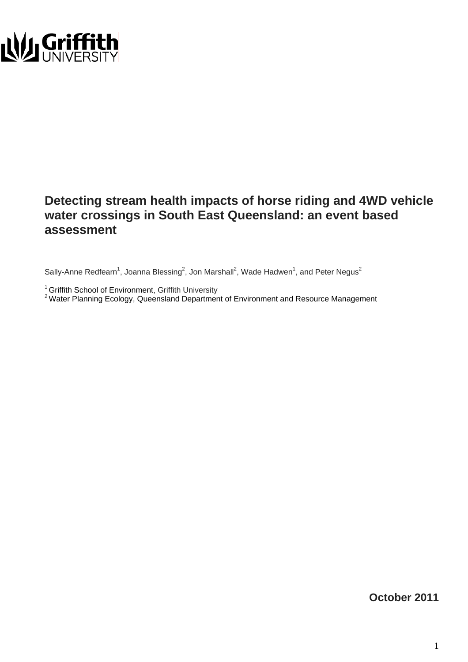

### **Detecting stream health impacts of horse riding and 4WD vehicle water crossings in South East Queensland: an event based assessment**

Sally-Anne Redfearn<sup>1</sup>, Joanna Blessing<sup>2</sup>, Jon Marshall<sup>2</sup>, Wade Hadwen<sup>1</sup>, and Peter Negus<sup>2</sup>

<sup>1</sup> Griffith School of Environment, Griffith University<br><sup>2</sup> Water Planning Ecology, Queensland Department of Environment and Resource Management

**October 2011**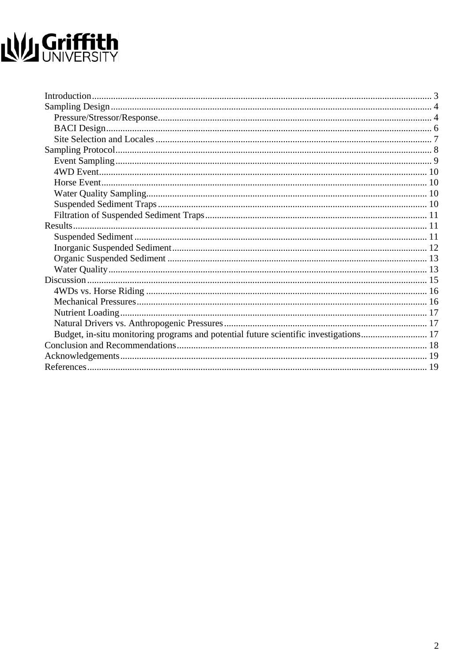# NU Griffith

| Budget, in-situ monitoring programs and potential future scientific investigations 17 |  |
|---------------------------------------------------------------------------------------|--|
|                                                                                       |  |
|                                                                                       |  |
|                                                                                       |  |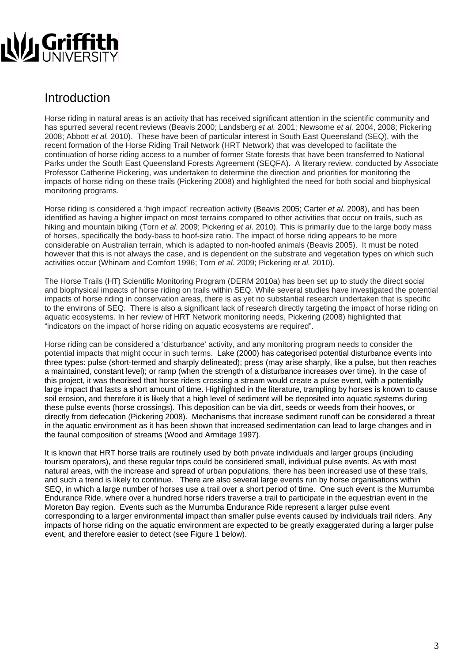

### Introduction

Horse riding in natural areas is an activity that has received significant attention in the scientific community and has spurred several recent reviews (Beavis 2000; Landsberg *et al.* 2001; Newsome *et al.* 2004, 2008; Pickering 2008; Abbott *et al.* 2010). These have been of particular interest in South East Queensland (SEQ), with the recent formation of the Horse Riding Trail Network (HRT Network) that was developed to facilitate the continuation of horse riding access to a number of former State forests that have been transferred to National Parks under the South East Queensland Forests Agreement (SEQFA). A literary review, conducted by Associate Professor Catherine Pickering, was undertaken to determine the direction and priorities for monitoring the impacts of horse riding on these trails (Pickering 2008) and highlighted the need for both social and biophysical monitoring programs.

Horse riding is considered a 'high impact' recreation activity (Beavis 2005; Carter *et al.* 2008), and has been identified as having a higher impact on most terrains compared to other activities that occur on trails, such as hiking and mountain biking (Torn *et al*. 2009; Pickering *et al*. 2010). This is primarily due to the large body mass of horses, specifically the body-bass to hoof-size ratio. The impact of horse riding appears to be more considerable on Australian terrain, which is adapted to non-hoofed animals (Beavis 2005). It must be noted however that this is not always the case, and is dependent on the substrate and vegetation types on which such activities occur (Whinam and Comfort 1996; Torn *et al.* 2009; Pickering *et al.* 2010).

The Horse Trails (HT) Scientific Monitoring Program (DERM 2010a) has been set up to study the direct social and biophysical impacts of horse riding on trails within SEQ. While several studies have investigated the potential impacts of horse riding in conservation areas, there is as yet no substantial research undertaken that is specific to the environs of SEQ. There is also a significant lack of research directly targeting the impact of horse riding on aquatic ecosystems. In her review of HRT Network monitoring needs, Pickering (2008) highlighted that "indicators on the impact of horse riding on aquatic ecosystems are required".

Horse riding can be considered a 'disturbance' activity, and any monitoring program needs to consider the potential impacts that might occur in such terms. Lake (2000) has categorised potential disturbance events into three types: pulse (short-termed and sharply delineated); press (may arise sharply, like a pulse, but then reaches a maintained, constant level); or ramp (when the strength of a disturbance increases over time). In the case of this project, it was theorised that horse riders crossing a stream would create a pulse event, with a potentially large impact that lasts a short amount of time. Highlighted in the literature, trampling by horses is known to cause soil erosion, and therefore it is likely that a high level of sediment will be deposited into aquatic systems during these pulse events (horse crossings). This deposition can be via dirt, seeds or weeds from their hooves, or directly from defecation (Pickering 2008). Mechanisms that increase sediment runoff can be considered a threat in the aquatic environment as it has been shown that increased sedimentation can lead to large changes and in the faunal composition of streams (Wood and Armitage 1997).

It is known that HRT horse trails are routinely used by both private individuals and larger groups (including tourism operators), and these regular trips could be considered small, individual pulse events. As with most natural areas, with the increase and spread of urban populations, there has been increased use of these trails, and such a trend is likely to continue. There are also several large events run by horse organisations within SEQ, in which a large number of horses use a trail over a short period of time. One such event is the Murrumba Endurance Ride, where over a hundred horse riders traverse a trail to participate in the equestrian event in the Moreton Bay region. Events such as the Murrumba Endurance Ride represent a larger pulse event corresponding to a larger environmental impact than smaller pulse events caused by individuals trail riders. Any impacts of horse riding on the aquatic environment are expected to be greatly exaggerated during a larger pulse event, and therefore easier to detect (see Figure 1 below).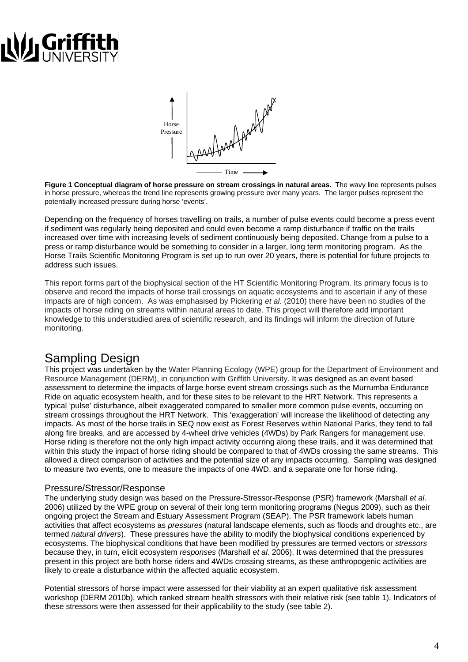# **LULI Gri**



**Figure 1 Conceptual diagram of horse pressure on stream crossings in natural areas.** The wavy line represents pulses in horse pressure, whereas the trend line represents growing pressure over many years. The larger pulses represent the potentially increased pressure during horse 'events'.

Depending on the frequency of horses travelling on trails, a number of pulse events could become a press event if sediment was regularly being deposited and could even become a ramp disturbance if traffic on the trails increased over time with increasing levels of sediment continuously being deposited. Change from a pulse to a press or ramp disturbance would be something to consider in a larger, long term monitoring program. As the Horse Trails Scientific Monitoring Program is set up to run over 20 years, there is potential for future projects to address such issues.

This report forms part of the biophysical section of the HT Scientific Monitoring Program. Its primary focus is to observe and record the impacts of horse trail crossings on aquatic ecosystems and to ascertain if any of these impacts are of high concern. As was emphasised by Pickering *et al.* (2010) there have been no studies of the impacts of horse riding on streams within natural areas to date. This project will therefore add important knowledge to this understudied area of scientific research, and its findings will inform the direction of future monitoring.

### Sampling Design

This project was undertaken by the Water Planning Ecology (WPE) group for the Department of Environment and Resource Management (DERM), in conjunction with Griffith University. It was designed as an event based assessment to determine the impacts of large horse event stream crossings such as the Murrumba Endurance Ride on aquatic ecosystem health, and for these sites to be relevant to the HRT Network. This represents a typical 'pulse' disturbance, albeit exaggerated compared to smaller more common pulse events, occurring on stream crossings throughout the HRT Network. This 'exaggeration' will increase the likelihood of detecting any impacts. As most of the horse trails in SEQ now exist as Forest Reserves within National Parks, they tend to fall along fire breaks, and are accessed by 4-wheel drive vehicles (4WDs) by Park Rangers for management use. Horse riding is therefore not the only high impact activity occurring along these trails, and it was determined that within this study the impact of horse riding should be compared to that of 4WDs crossing the same streams. This allowed a direct comparison of activities and the potential size of any impacts occurring. Sampling was designed to measure two events, one to measure the impacts of one 4WD, and a separate one for horse riding.

### Pressure/Stressor/Response

The underlying study design was based on the Pressure-Stressor-Response (PSR) framework (Marshall *et al.* 2006) utilized by the WPE group on several of their long term monitoring programs (Negus 2009), such as their ongoing project the Stream and Estuary Assessment Program (SEAP). The PSR framework labels human activities that affect ecosystems as *pressures* (natural landscape elements, such as floods and droughts etc., are termed *natural drivers*). These pressures have the ability to modify the biophysical conditions experienced by ecosystems. The biophysical conditions that have been modified by pressures are termed vectors or *stressors* because they, in turn, elicit ecosystem *responses* (Marshall *et al.* 2006). It was determined that the pressures present in this project are both horse riders and 4WDs crossing streams, as these anthropogenic activities are likely to create a disturbance within the affected aquatic ecosystem.

Potential stressors of horse impact were assessed for their viability at an expert qualitative risk assessment workshop (DERM 2010b), which ranked stream health stressors with their relative risk (see table 1). Indicators of these stressors were then assessed for their applicability to the study (see table 2).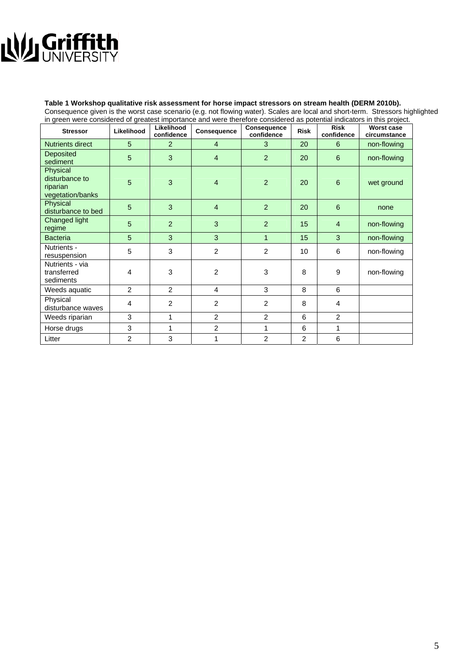# NU Griffith

### **Table 1 Workshop qualitative risk assessment for horse impact stressors on stream health (DERM 2010b).**

Consequence given is the worst case scenario (e.g. not flowing water). Scales are local and short-term. Stressors highlighted in green were considered of greatest importance and were therefore considered as potential indicators in this project.

| <b>Stressor</b>                                            | Likelihood     | Likelihood<br>confidence | Consequence    | <b>Consequence</b><br>confidence | <b>Risk</b>    | <b>Risk</b><br>confidence | <b>Worst case</b><br>circumstance |
|------------------------------------------------------------|----------------|--------------------------|----------------|----------------------------------|----------------|---------------------------|-----------------------------------|
| <b>Nutrients direct</b>                                    | 5              | 2                        | $\overline{4}$ | 3                                | 20             | 6                         | non-flowing                       |
| Deposited<br>sediment                                      | 5              | 3                        | $\overline{4}$ | $\overline{2}$                   | 20             | 6                         | non-flowing                       |
| Physical<br>disturbance to<br>riparian<br>vegetation/banks | 5              | 3                        | 4              | $\overline{2}$                   | 20             | $6\phantom{1}6$           | wet ground                        |
| Physical<br>disturbance to bed                             | 5              | 3                        | $\overline{4}$ | $\overline{2}$                   | 20             | 6                         | none                              |
| Changed light<br>regime                                    | 5              | $\overline{2}$           | 3              | 2                                | 15             | $\overline{4}$            | non-flowing                       |
| <b>Bacteria</b>                                            | 5              | 3                        | 3              | $\mathbf{1}$                     | 15             | 3                         | non-flowing                       |
| Nutrients -<br>resuspension                                | 5              | 3                        | $\overline{2}$ | $\overline{2}$                   | 10             | 6                         | non-flowing                       |
| Nutrients - via<br>transferred<br>sediments                | 4              | 3                        | $\overline{2}$ | 3                                | 8              | 9                         | non-flowing                       |
| Weeds aquatic                                              | $\overline{2}$ | $\overline{2}$           | 4              | 3                                | 8              | 6                         |                                   |
| Physical<br>disturbance waves                              | 4              | $\overline{2}$           | $\overline{2}$ | $\overline{2}$                   | 8              | 4                         |                                   |
| Weeds riparian                                             | 3              | 1                        | $\overline{2}$ | $\overline{2}$                   | 6              | 2                         |                                   |
| Horse drugs                                                | 3              | 1                        | $\overline{c}$ | 1                                | 6              | 1                         |                                   |
| Litter                                                     | 2              | 3                        | 1              | $\overline{2}$                   | $\overline{2}$ | 6                         |                                   |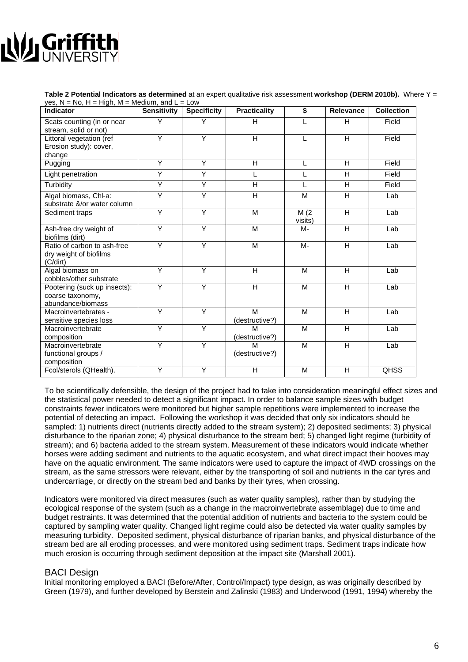# **NU Griffi**

**Table 2 Potential Indicators as determined** at an expert qualitative risk assessment **workshop (DERM 2010b).** Where Y = yes,  $N = No$ ,  $H = High$ ,  $M = Medium$ , and  $L = Low$ 

| <b>Indicator</b>                                                      | <b>Sensitivity</b> | <b>Specificity</b> | <b>Practicality</b>     | $\overline{\boldsymbol{s}}$ | <b>Relevance</b>        | <b>Collection</b> |
|-----------------------------------------------------------------------|--------------------|--------------------|-------------------------|-----------------------------|-------------------------|-------------------|
| Scats counting (in or near<br>stream, solid or not)                   | Y                  | Y                  | H                       | L                           | H                       | Field             |
| Littoral vegetation (ref<br>Erosion study): cover,                    | Y                  | Ÿ                  | $\overline{\mathsf{H}}$ |                             | H                       | Field             |
| change                                                                | Y                  | Ÿ                  | $\overline{\mathsf{H}}$ |                             |                         | Field             |
| Pugging                                                               |                    |                    |                         | L                           | H                       |                   |
| Light penetration                                                     | Ÿ                  | Ÿ                  | L                       | L                           | $\overline{H}$          | Field             |
| Turbidity                                                             | Ÿ                  | Υ                  | $\overline{H}$          | L                           | $\overline{\mathsf{H}}$ | Field             |
| Algal biomass, Chl-a:<br>substrate &/or water column                  | Y                  | Ÿ                  | $\overline{H}$          | M                           | H.                      | Lab               |
| Sediment traps                                                        | Ÿ                  | Ÿ                  | M                       | M(2)<br>visits)             | H                       | Lab               |
| Ash-free dry weight of<br>biofilms (dirt)                             | Ÿ                  | Ÿ                  | M                       | M-                          | H                       | Lab               |
| Ratio of carbon to ash-free<br>dry weight of biofilms<br>(C/dirt)     | Y                  | Ÿ                  | M                       | M-                          | H                       | Lab               |
| Algal biomass on<br>cobbles/other substrate                           | Y                  | Y                  | H                       | M                           | H                       | Lab               |
| Pootering (suck up insects):<br>coarse taxonomy,<br>abundance/biomass | $\overline{Y}$     | Ÿ                  | H                       | M                           | H                       | Lab               |
| Macroinvertebrates -<br>sensitive species loss                        | Ÿ                  | Ÿ                  | M<br>(destructive?)     | M                           | H                       | Lab               |
| Macroinvertebrate<br>composition                                      | Y                  | Ÿ                  | M<br>(destructive?)     | M                           | H                       | Lab               |
| Macroinvertebrate<br>functional groups /<br>composition               | Y                  | Y                  | M<br>(destructive?)     | M                           | H                       | Lab               |
| Fcol/sterols (QHealth).                                               | Y                  | Υ                  | H                       | M                           | H                       | <b>QHSS</b>       |

To be scientifically defensible, the design of the project had to take into consideration meaningful effect sizes and the statistical power needed to detect a significant impact. In order to balance sample sizes with budget constraints fewer indicators were monitored but higher sample repetitions were implemented to increase the potential of detecting an impact. Following the workshop it was decided that only six indicators should be sampled: 1) nutrients direct (nutrients directly added to the stream system); 2) deposited sediments; 3) physical disturbance to the riparian zone; 4) physical disturbance to the stream bed; 5) changed light regime (turbidity of stream); and 6) bacteria added to the stream system. Measurement of these indicators would indicate whether horses were adding sediment and nutrients to the aquatic ecosystem, and what direct impact their hooves may have on the aquatic environment. The same indicators were used to capture the impact of 4WD crossings on the stream, as the same stressors were relevant, either by the transporting of soil and nutrients in the car tyres and undercarriage, or directly on the stream bed and banks by their tyres, when crossing.

Indicators were monitored via direct measures (such as water quality samples), rather than by studying the ecological response of the system (such as a change in the macroinvertebrate assemblage) due to time and budget restraints. It was determined that the potential addition of nutrients and bacteria to the system could be captured by sampling water quality. Changed light regime could also be detected via water quality samples by measuring turbidity. Deposited sediment, physical disturbance of riparian banks, and physical disturbance of the stream bed are all eroding processes, and were monitored using sediment traps. Sediment traps indicate how much erosion is occurring through sediment deposition at the impact site (Marshall 2001).

### BACI Design

Initial monitoring employed a BACI (Before/After, Control/Impact) type design, as was originally described by Green (1979), and further developed by Berstein and Zalinski (1983) and Underwood (1991, 1994) whereby the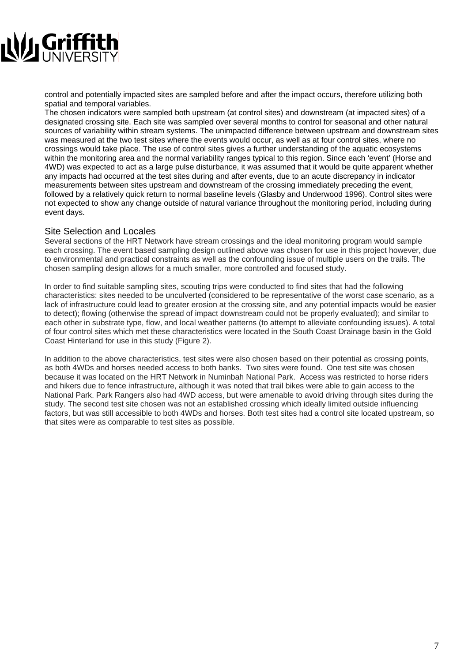

control and potentially impacted sites are sampled before and after the impact occurs, therefore utilizing both spatial and temporal variables.

The chosen indicators were sampled both upstream (at control sites) and downstream (at impacted sites) of a designated crossing site. Each site was sampled over several months to control for seasonal and other natural sources of variability within stream systems. The unimpacted difference between upstream and downstream sites was measured at the two test sites where the events would occur, as well as at four control sites, where no crossings would take place. The use of control sites gives a further understanding of the aquatic ecosystems within the monitoring area and the normal variability ranges typical to this region. Since each 'event' (Horse and 4WD) was expected to act as a large pulse disturbance, it was assumed that it would be quite apparent whether any impacts had occurred at the test sites during and after events, due to an acute discrepancy in indicator measurements between sites upstream and downstream of the crossing immediately preceding the event, followed by a relatively quick return to normal baseline levels (Glasby and Underwood 1996). Control sites were not expected to show any change outside of natural variance throughout the monitoring period, including during event days.

#### Site Selection and Locales

Several sections of the HRT Network have stream crossings and the ideal monitoring program would sample each crossing. The event based sampling design outlined above was chosen for use in this project however, due to environmental and practical constraints as well as the confounding issue of multiple users on the trails. The chosen sampling design allows for a much smaller, more controlled and focused study.

In order to find suitable sampling sites, scouting trips were conducted to find sites that had the following characteristics: sites needed to be unculverted (considered to be representative of the worst case scenario, as a lack of infrastructure could lead to greater erosion at the crossing site, and any potential impacts would be easier to detect); flowing (otherwise the spread of impact downstream could not be properly evaluated); and similar to each other in substrate type, flow, and local weather patterns (to attempt to alleviate confounding issues). A total of four control sites which met these characteristics were located in the South Coast Drainage basin in the Gold Coast Hinterland for use in this study (Figure 2).

In addition to the above characteristics, test sites were also chosen based on their potential as crossing points, as both 4WDs and horses needed access to both banks. Two sites were found. One test site was chosen because it was located on the HRT Network in Numinbah National Park. Access was restricted to horse riders and hikers due to fence infrastructure, although it was noted that trail bikes were able to gain access to the National Park. Park Rangers also had 4WD access, but were amenable to avoid driving through sites during the study. The second test site chosen was not an established crossing which ideally limited outside influencing factors, but was still accessible to both 4WDs and horses. Both test sites had a control site located upstream, so that sites were as comparable to test sites as possible.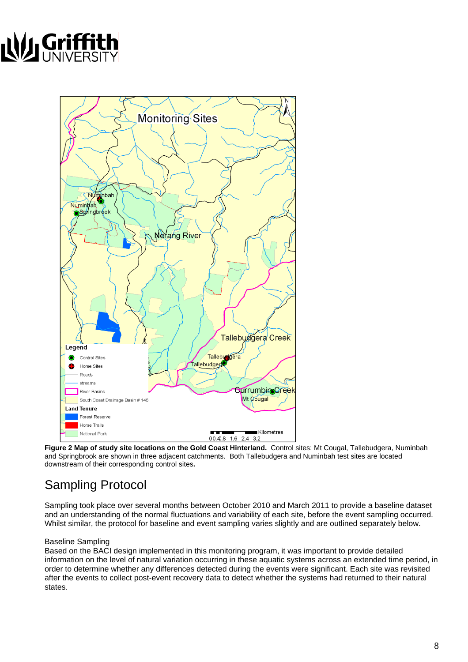# NU Griffit



**Figure 2 Map of study site locations on the Gold Coast Hinterland.** Control sites: Mt Cougal, Tallebudgera, Numinbah and Springbrook are shown in three adjacent catchments. Both Tallebudgera and Numinbah test sites are located downstream of their corresponding control sites**.** 

### Sampling Protocol

Sampling took place over several months between October 2010 and March 2011 to provide a baseline dataset and an understanding of the normal fluctuations and variability of each site, before the event sampling occurred. Whilst similar, the protocol for baseline and event sampling varies slightly and are outlined separately below.

#### Baseline Sampling

Based on the BACI design implemented in this monitoring program, it was important to provide detailed information on the level of natural variation occurring in these aquatic systems across an extended time period, in order to determine whether any differences detected during the events were significant. Each site was revisited after the events to collect post-event recovery data to detect whether the systems had returned to their natural states.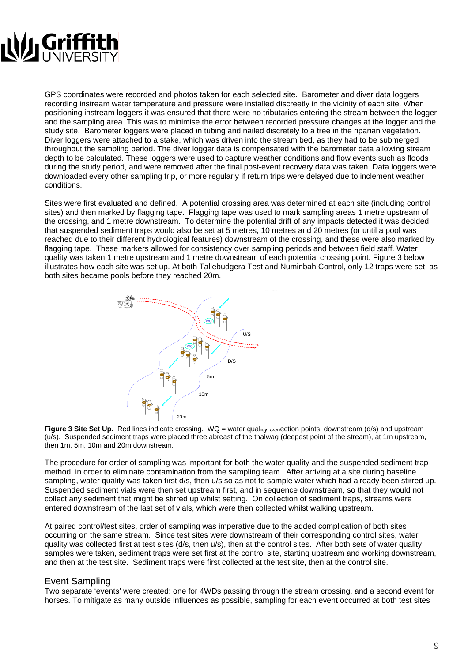

GPS coordinates were recorded and photos taken for each selected site. Barometer and diver data loggers recording instream water temperature and pressure were installed discreetly in the vicinity of each site. When positioning instream loggers it was ensured that there were no tributaries entering the stream between the logger and the sampling area. This was to minimise the error between recorded pressure changes at the logger and the study site. Barometer loggers were placed in tubing and nailed discretely to a tree in the riparian vegetation. Diver loggers were attached to a stake, which was driven into the stream bed, as they had to be submerged throughout the sampling period. The diver logger data is compensated with the barometer data allowing stream depth to be calculated. These loggers were used to capture weather conditions and flow events such as floods during the study period, and were removed after the final post-event recovery data was taken. Data loggers were downloaded every other sampling trip, or more regularly if return trips were delayed due to inclement weather conditions.

Sites were first evaluated and defined. A potential crossing area was determined at each site (including control sites) and then marked by flagging tape. Flagging tape was used to mark sampling areas 1 metre upstream of the crossing, and 1 metre downstream. To determine the potential drift of any impacts detected it was decided that suspended sediment traps would also be set at 5 metres, 10 metres and 20 metres (or until a pool was reached due to their different hydrological features) downstream of the crossing, and these were also marked by flagging tape. These markers allowed for consistency over sampling periods and between field staff. Water quality was taken 1 metre upstream and 1 metre downstream of each potential crossing point. Figure 3 below illustrates how each site was set up. At both Tallebudgera Test and Numinbah Control, only 12 traps were set, as both sites became pools before they reached 20m.



**Figure 3 Site Set Up.** Red lines indicate crossing. WQ = water quality collection points, downstream (d/s) and upstream (u/s). Suspended sediment traps were placed three abreast of the thalwag (deepest point of the stream), at 1m upstream, then 1m, 5m, 10m and 20m downstream.

The procedure for order of sampling was important for both the water quality and the suspended sediment trap method, in order to eliminate contamination from the sampling team. After arriving at a site during baseline sampling, water quality was taken first d/s, then u/s so as not to sample water which had already been stirred up. Suspended sediment vials were then set upstream first, and in sequence downstream, so that they would not collect any sediment that might be stirred up whilst setting. On collection of sediment traps, streams were entered downstream of the last set of vials, which were then collected whilst walking upstream.

At paired control/test sites, order of sampling was imperative due to the added complication of both sites occurring on the same stream. Since test sites were downstream of their corresponding control sites, water quality was collected first at test sites (d/s, then u/s), then at the control sites. After both sets of water quality samples were taken, sediment traps were set first at the control site, starting upstream and working downstream, and then at the test site. Sediment traps were first collected at the test site, then at the control site.

### Event Sampling

Two separate 'events' were created: one for 4WDs passing through the stream crossing, and a second event for horses. To mitigate as many outside influences as possible, sampling for each event occurred at both test sites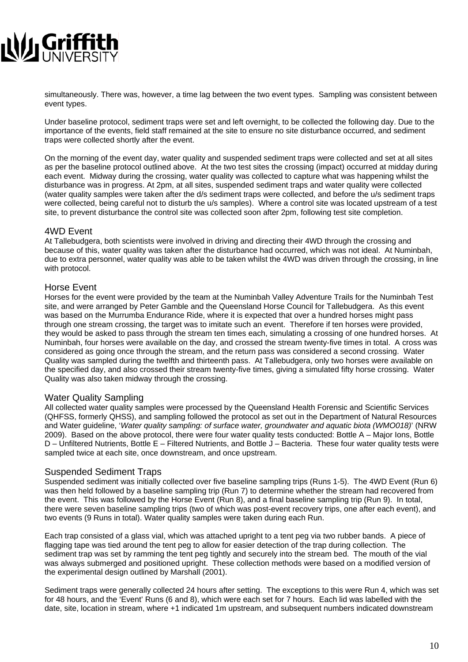

simultaneously. There was, however, a time lag between the two event types. Sampling was consistent between event types.

Under baseline protocol, sediment traps were set and left overnight, to be collected the following day. Due to the importance of the events, field staff remained at the site to ensure no site disturbance occurred, and sediment traps were collected shortly after the event.

On the morning of the event day, water quality and suspended sediment traps were collected and set at all sites as per the baseline protocol outlined above. At the two test sites the crossing (impact) occurred at midday during each event. Midway during the crossing, water quality was collected to capture what was happening whilst the disturbance was in progress. At 2pm, at all sites, suspended sediment traps and water quality were collected (water quality samples were taken after the d/s sediment traps were collected, and before the u/s sediment traps were collected, being careful not to disturb the u/s samples). Where a control site was located upstream of a test site, to prevent disturbance the control site was collected soon after 2pm, following test site completion.

#### 4WD Event

At Tallebudgera, both scientists were involved in driving and directing their 4WD through the crossing and because of this, water quality was taken after the disturbance had occurred, which was not ideal. At Numinbah, due to extra personnel, water quality was able to be taken whilst the 4WD was driven through the crossing, in line with protocol.

#### Horse Event

Horses for the event were provided by the team at the Numinbah Valley Adventure Trails for the Numinbah Test site, and were arranged by Peter Gamble and the Queensland Horse Council for Tallebudgera. As this event was based on the Murrumba Endurance Ride, where it is expected that over a hundred horses might pass through one stream crossing, the target was to imitate such an event. Therefore if ten horses were provided, they would be asked to pass through the stream ten times each, simulating a crossing of one hundred horses. At Numinbah, four horses were available on the day, and crossed the stream twenty-five times in total. A cross was considered as going once through the stream, and the return pass was considered a second crossing. Water Quality was sampled during the twelfth and thirteenth pass. At Tallebudgera, only two horses were available on the specified day, and also crossed their stream twenty-five times, giving a simulated fifty horse crossing. Water Quality was also taken midway through the crossing.

#### Water Quality Sampling

All collected water quality samples were processed by the Queensland Health Forensic and Scientific Services (QHFSS, formerly QHSS), and sampling followed the protocol as set out in the Department of Natural Resources and Water guideline, '*Water quality sampling: of surface water, groundwater and aquatic biota (WMO018)*' (NRW 2009). Based on the above protocol, there were four water quality tests conducted: Bottle A – Major Ions, Bottle D – Unfiltered Nutrients, Bottle E – Filtered Nutrients, and Bottle J – Bacteria. These four water quality tests were sampled twice at each site, once downstream, and once upstream.

#### Suspended Sediment Traps

Suspended sediment was initially collected over five baseline sampling trips (Runs 1-5). The 4WD Event (Run 6) was then held followed by a baseline sampling trip (Run 7) to determine whether the stream had recovered from the event. This was followed by the Horse Event (Run 8), and a final baseline sampling trip (Run 9). In total, there were seven baseline sampling trips (two of which was post-event recovery trips, one after each event), and two events (9 Runs in total). Water quality samples were taken during each Run.

Each trap consisted of a glass vial, which was attached upright to a tent peg via two rubber bands. A piece of flagging tape was tied around the tent peg to allow for easier detection of the trap during collection. The sediment trap was set by ramming the tent peg tightly and securely into the stream bed. The mouth of the vial was always submerged and positioned upright. These collection methods were based on a modified version of the experimental design outlined by Marshall (2001).

Sediment traps were generally collected 24 hours after setting. The exceptions to this were Run 4, which was set for 48 hours, and the 'Event' Runs (6 and 8), which were each set for 7 hours. Each lid was labelled with the date, site, location in stream, where +1 indicated 1m upstream, and subsequent numbers indicated downstream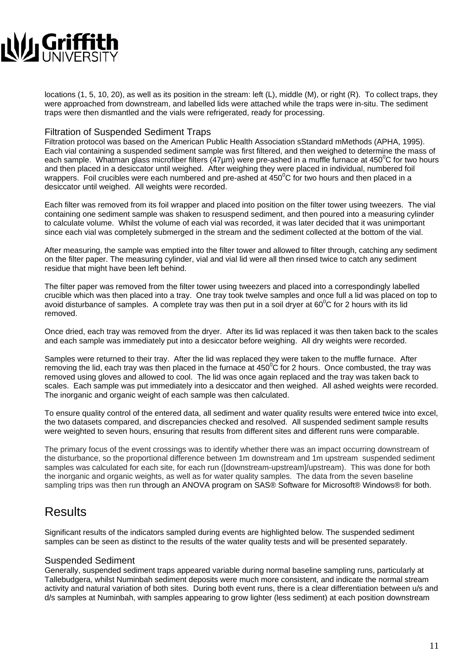# NU Griffit

locations (1, 5, 10, 20), as well as its position in the stream: left (L), middle (M), or right (R). To collect traps, they were approached from downstream, and labelled lids were attached while the traps were in-situ. The sediment traps were then dismantled and the vials were refrigerated, ready for processing.

### Filtration of Suspended Sediment Traps

Filtration protocol was based on the American Public Health Association sStandard mMethods (APHA, 1995). Each vial containing a suspended sediment sample was first filtered, and then weighed to determine the mass of each sample. Whatman glass microfiber filters (47µm) were pre-ashed in a muffle furnace at 450 $\rm{^0C}$  for two hours and then placed in a desiccator until weighed. After weighing they were placed in individual, numbered foil wrappers. Foil crucibles were each numbered and pre-ashed at  $450^{\circ}$ C for two hours and then placed in a desiccator until weighed. All weights were recorded.

Each filter was removed from its foil wrapper and placed into position on the filter tower using tweezers. The vial containing one sediment sample was shaken to resuspend sediment, and then poured into a measuring cylinder to calculate volume. Whilst the volume of each vial was recorded, it was later decided that it was unimportant since each vial was completely submerged in the stream and the sediment collected at the bottom of the vial.

After measuring, the sample was emptied into the filter tower and allowed to filter through, catching any sediment on the filter paper. The measuring cylinder, vial and vial lid were all then rinsed twice to catch any sediment residue that might have been left behind.

The filter paper was removed from the filter tower using tweezers and placed into a correspondingly labelled crucible which was then placed into a tray. One tray took twelve samples and once full a lid was placed on top to avoid disturbance of samples. A complete tray was then put in a soil dryer at 60 $\rm ^{0}C$  for 2 hours with its lid removed.

Once dried, each tray was removed from the dryer. After its lid was replaced it was then taken back to the scales and each sample was immediately put into a desiccator before weighing. All dry weights were recorded.

Samples were returned to their tray. After the lid was replaced they were taken to the muffle furnace. After removing the lid, each tray was then placed in the furnace at  $450^{\circ}$ C for 2 hours. Once combusted, the tray was removed using gloves and allowed to cool. The lid was once again replaced and the tray was taken back to scales. Each sample was put immediately into a desiccator and then weighed. All ashed weights were recorded. The inorganic and organic weight of each sample was then calculated.

To ensure quality control of the entered data, all sediment and water quality results were entered twice into excel, the two datasets compared, and discrepancies checked and resolved. All suspended sediment sample results were weighted to seven hours, ensuring that results from different sites and different runs were comparable.

The primary focus of the event crossings was to identify whether there was an impact occurring downstream of the disturbance, so the proportional difference between 1m downstream and 1m upstream suspended sediment samples was calculated for each site, for each run ([downstream-upstream]/upstream). This was done for both the inorganic and organic weights, as well as for water quality samples. The data from the seven baseline sampling trips was then run through an ANOVA program on SAS® Software for Microsoft® Windows® for both.

### Results

Significant results of the indicators sampled during events are highlighted below. The suspended sediment samples can be seen as distinct to the results of the water quality tests and will be presented separately.

### Suspended Sediment

Generally, suspended sediment traps appeared variable during normal baseline sampling runs, particularly at Tallebudgera, whilst Numinbah sediment deposits were much more consistent, and indicate the normal stream activity and natural variation of both sites. During both event runs, there is a clear differentiation between u/s and d/s samples at Numinbah, with samples appearing to grow lighter (less sediment) at each position downstream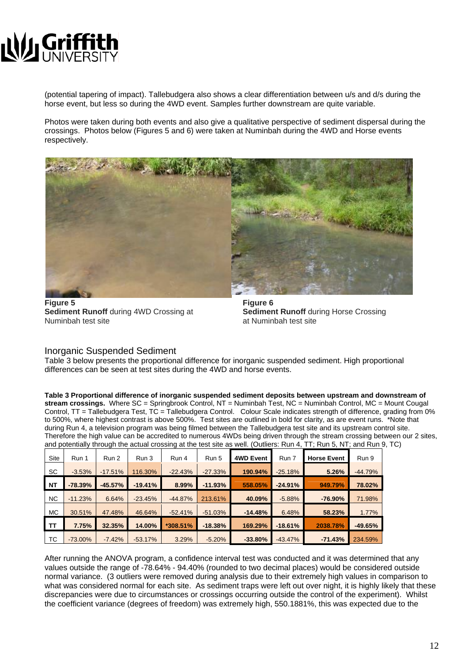

(potential tapering of impact). Tallebudgera also shows a clear differentiation between u/s and d/s during the horse event, but less so during the 4WD event. Samples further downstream are quite variable.

Photos were taken during both events and also give a qualitative perspective of sediment dispersal during the crossings. Photos below (Figures 5 and 6) were taken at Numinbah during the 4WD and Horse events respectively.



**Figure 5 Figure 6 Sediment Runoff** during 4WD Crossing at **Sediment Runoff** during Horse Crossing Numinbah test site at Numinbah test site

#### Inorganic Suspended Sediment

Table 3 below presents the proportional difference for inorganic suspended sediment. High proportional differences can be seen at test sites during the 4WD and horse events.

**Table 3 Proportional difference of inorganic suspended sediment deposits between upstream and downstream of stream crossings.** Where SC = Springbrook Control, NT = Numinbah Test, NC = Numinbah Control, MC = Mount Cougal Control, TT = Tallebudgera Test, TC = Tallebudgera Control. Colour Scale indicates strength of difference, grading from 0% to 500%, where highest contrast is above 500%. Test sites are outlined in bold for clarity, as are event runs. \*Note that during Run 4, a television program was being filmed between the Tallebudgera test site and its upstream control site. Therefore the high value can be accredited to numerous 4WDs being driven through the stream crossing between our 2 sites, and potentially through the actual crossing at the test site as well. (Outliers: Run 4, TT; Run 5, NT; and Run 9, TC)

| Site      | Run 1      | Run 2     | Run 3     | Run 4       | Run 5     | <b>4WD Event</b> | Run 7     | <b>Horse Event</b> | Run 9     |
|-----------|------------|-----------|-----------|-------------|-----------|------------------|-----------|--------------------|-----------|
| SC.       | $-3.53%$   | $-17.51%$ | 116.30%   | $-22.43%$   | $-27.33%$ | 190.94%          | $-25.18%$ | 5.26%              | $-44.79%$ |
| <b>NT</b> | $-78.39%$  | $-45.57%$ | $-19.41%$ | 8.99%       | $-11.93%$ | 558.05%          | $-24.91%$ | 949.79%            | 78.02%    |
| <b>NC</b> | $-11.23%$  | 6.64%     | $-23.45%$ | $-44.87%$   | 213.61%   | 40.09%           | $-5.88%$  | $-76.90%$          | 71.98%    |
| <b>MC</b> | 30.51%     | 47.48%    | 46.64%    | $-52.41%$   | $-51.03%$ | $-14.48%$        | 6.48%     | 58.23%             | 1.77%     |
| TΤ        | 7.75%      | 32.35%    | 14.00%    | $*308.51\%$ | $-18.38%$ | 169.29%          | $-18.61%$ | 2038.78%           | $-49.65%$ |
| TC        | $-73.00\%$ | $-7.42%$  | $-53.17%$ | 3.29%       | $-5.20%$  | $-33.80%$        | $-43.47%$ | $-71.43%$          | 234.59%   |

After running the ANOVA program, a confidence interval test was conducted and it was determined that any values outside the range of -78.64% - 94.40% (rounded to two decimal places) would be considered outside normal variance. (3 outliers were removed during analysis due to their extremely high values in comparison to what was considered normal for each site. As sediment traps were left out over night, it is highly likely that these discrepancies were due to circumstances or crossings occurring outside the control of the experiment). Whilst the coefficient variance (degrees of freedom) was extremely high, 550.1881%, this was expected due to the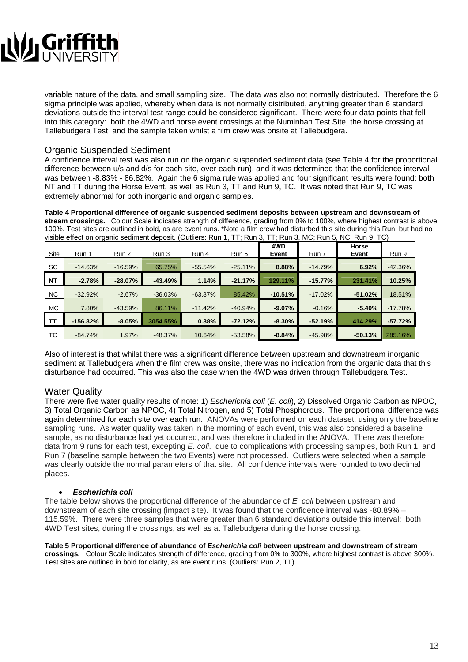# **Ny Griffit**

variable nature of the data, and small sampling size. The data was also not normally distributed. Therefore the 6 sigma principle was applied, whereby when data is not normally distributed, anything greater than 6 standard deviations outside the interval test range could be considered significant. There were four data points that fell into this category: both the 4WD and horse event crossings at the Numinbah Test Site, the horse crossing at Tallebudgera Test, and the sample taken whilst a film crew was onsite at Tallebudgera.

### Organic Suspended Sediment

A confidence interval test was also run on the organic suspended sediment data (see Table 4 for the proportional difference between u/s and d/s for each site, over each run), and it was determined that the confidence interval was between -8.83% - 86.82%. Again the 6 sigma rule was applied and four significant results were found: both NT and TT during the Horse Event, as well as Run 3, TT and Run 9, TC. It was noted that Run 9, TC was extremely abnormal for both inorganic and organic samples.

**Table 4 Proportional difference of organic suspended sediment deposits between upstream and downstream of stream crossings.** Colour Scale indicates strength of difference, grading from 0% to 100%, where highest contrast is above 100%. Test sites are outlined in bold, as are event runs. \*Note a film crew had disturbed this site during this Run, but had no visible effect on organic sediment deposit. (Outliers: Run 1, TT; Run 3, TT; Run 3, MC; Run 5, NC; Run 9, TC)

| Site      | Run 1      | Run 2     | Run 3     | Run 4     | Run 5     | 4WD<br>Event | Run 7     | <b>Horse</b><br>Event | Run 9     |
|-----------|------------|-----------|-----------|-----------|-----------|--------------|-----------|-----------------------|-----------|
| <b>SC</b> | $-14.63%$  | $-16.59%$ | 65.75%    | $-55.54%$ | $-25.11%$ | 8.88%        | $-14.79%$ | 6.92%                 | $-42.36%$ |
| <b>NT</b> | $-2.78%$   | $-28.07%$ | $-43.49%$ | 1.14%     | $-21.17%$ | 129.11%      | $-15.77%$ | 231.41%               | 10.25%    |
| <b>NC</b> | $-32.92%$  | $-2.67%$  | $-36.03%$ | $-63.87%$ | 85.42%    | $-10.51%$    | $-17.02%$ | $-51.02%$             | 18.51%    |
| <b>MC</b> | 7.80%      | $-43.59%$ | 86.11%    | $-11.42%$ | $-40.94%$ | $-9.07\%$    | $-0.16%$  | $-5.40%$              | $-17.78%$ |
| <b>TT</b> | $-156.82%$ | $-8.05%$  | 3054.55%  | 0.38%     | $-72.12%$ | $-8.30%$     | $-52.19%$ | 414.29%               | $-57.72%$ |
| ТC        | $-84.74%$  | 1.97%     | $-48.37%$ | 10.64%    | $-53.58%$ | $-8.84%$     | $-45.98%$ | $-50.13%$             | 285.16%   |

Also of interest is that whilst there was a significant difference between upstream and downstream inorganic sediment at Tallebudgera when the film crew was onsite, there was no indication from the organic data that this disturbance had occurred. This was also the case when the 4WD was driven through Tallebudgera Test.

### Water Quality

There were five water quality results of note: 1) *Escherichia coli* (*E. coli*), 2) Dissolved Organic Carbon as NPOC, 3) Total Organic Carbon as NPOC, 4) Total Nitrogen, and 5) Total Phosphorous. The proportional difference was again determined for each site over each run. ANOVAs were performed on each dataset, using only the baseline sampling runs. As water quality was taken in the morning of each event, this was also considered a baseline sample, as no disturbance had yet occurred, and was therefore included in the ANOVA. There was therefore data from 9 runs for each test, excepting *E. coli*. due to complications with processing samples, both Run 1, and Run 7 (baseline sample between the two Events) were not processed. Outliers were selected when a sample was clearly outside the normal parameters of that site. All confidence intervals were rounded to two decimal places.

### • *Escherichia coli*

The table below shows the proportional difference of the abundance of *E. coli* between upstream and downstream of each site crossing (impact site). It was found that the confidence interval was -80.89% – 115.59%. There were three samples that were greater than 6 standard deviations outside this interval: both 4WD Test sites, during the crossings, as well as at Tallebudgera during the horse crossing.

**Table 5 Proportional difference of abundance of** *Escherichia coli* **between upstream and downstream of stream crossings.** Colour Scale indicates strength of difference, grading from 0% to 300%, where highest contrast is above 300%. Test sites are outlined in bold for clarity, as are event runs. (Outliers: Run 2, TT)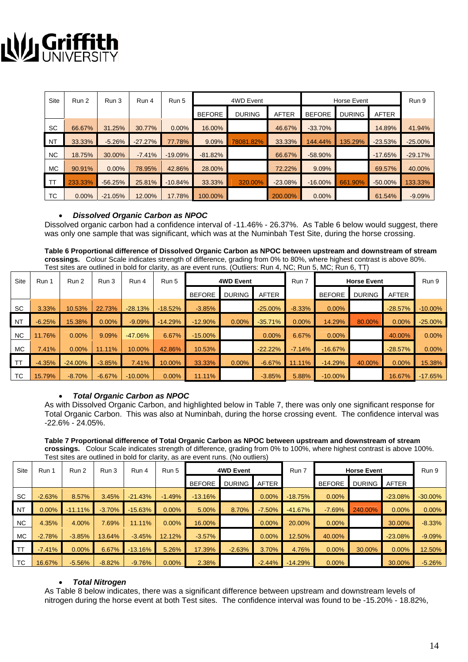## **J, Griffit**<br>21 UNIVERS N

| Site      | Run 2    | Run 3     | Run 4     | Run 5     |               | 4WD Event     |           |               | Horse Event   |              | Run 9      |
|-----------|----------|-----------|-----------|-----------|---------------|---------------|-----------|---------------|---------------|--------------|------------|
|           |          |           |           |           | <b>BEFORE</b> | <b>DURING</b> | AFTER     | <b>BEFORE</b> | <b>DURING</b> | <b>AFTER</b> |            |
| SC        | 66.67%   | 31.25%    | 30.77%    | $0.00\%$  | 16.00%        |               | 46.67%    | $-33.70%$     |               | 14.89%       | 41.94%     |
| <b>NT</b> | 33.33%   | $-5.26%$  | $-27.27%$ | 77.78%    | 9.09%         | 78081.82%     | 33.33%    | 144.44%       | 135.29%       | $-23.53%$    | $-25.00\%$ |
| <b>NC</b> | 18.75%   | 30.00%    | $-7.41%$  | $-19.09%$ | $-81.82%$     |               | 66.67%    | $-58.90%$     |               | $-17.65%$    | $-29.17%$  |
| <b>MC</b> | 90.91%   | $0.00\%$  | 78.95%    | 42.86%    | 28.00%        |               | 72.22%    | 9.09%         |               | 69.57%       | 40.00%     |
| <b>TT</b> | 233.33%  | $-56.25%$ | 25.81%    | $-10.84%$ | 33.33%        | 320.00%       | $-23.08%$ | $-16.00\%$    | 661.90%       | $-50.00\%$   | 133.33%    |
| ТC        | $0.00\%$ | $-21.05%$ | 12.00%    | 17.78%    | 100.00%       |               | 200.00%   | $0.00\%$      |               | 61.54%       | $-9.09%$   |

#### • *Dissolved Organic Carbon as NPOC*

Dissolved organic carbon had a confidence interval of -11.46% - 26.37%. As Table 6 below would suggest, there was only one sample that was significant, which was at the Numinbah Test Site, during the horse crossing.

**Table 6 Proportional difference of Dissolved Organic Carbon as NPOC between upstream and downstream of stream crossings.** Colour Scale indicates strength of difference, grading from 0% to 80%, where highest contrast is above 80%. Test sites are outlined in bold for clarity, as are event runs. (Outliers: Run 4, NC; Run 5, MC; Run 6, TT)

| Site      | Run 1    | Run 2      | Run 3    | Run 4      | Run 5     | 4WD Event     |               |              | Run 7<br><b>Horse Event</b> |               |               |              | Run 9      |
|-----------|----------|------------|----------|------------|-----------|---------------|---------------|--------------|-----------------------------|---------------|---------------|--------------|------------|
|           |          |            |          |            |           | <b>BEFORE</b> | <b>DURING</b> | <b>AFTER</b> |                             | <b>BEFORE</b> | <b>DURING</b> | <b>AFTER</b> |            |
| <b>SC</b> | 3.33%    | 10.53%     | 22.73%   | $-28.13%$  | $-18.52%$ | $-3.85%$      |               | $-25.00\%$   | $-8.33%$                    | $0.00\%$      |               | $-28.57%$    | $-10.00\%$ |
| <b>NT</b> | $-6.25%$ | 15.38%     | $0.00\%$ | $-9.09%$   | $-14.29%$ | $-12.90%$     | $0.00\%$      | $-35.71%$    | 0.00%                       | 14.29%        | 80.00%        | 0.00%        | $-25.00\%$ |
| NC.       | 11.76%   | $0.00\%$   | 9.09%    | $-47.06%$  | 6.67%     | $-15.00\%$    |               | $0.00\%$     | 6.67%                       | $0.00\%$      |               | 40.00%       | 0.00%      |
| <b>MC</b> | 7.41%    | $0.00\%$   | 11.11%   | 10.00%     | 42.86%    | 10.53%        |               | $-22.22%$    | $-7.14%$                    | $-16.67%$     |               | $-28.57%$    | 0.00%      |
| <b>TT</b> | $-4.35%$ | $-24.00\%$ | $-3.85%$ | 7.41%      | 10.00%    | 33.33%        | $0.00\%$      | $-6.67%$     | 11.11%                      | $-14.29%$     | 40.00%        | 0.00%        | 15.38%     |
| <b>TC</b> | 15.79%   | $-8.70%$   | $-6.67%$ | $-10.00\%$ | $0.00\%$  | 11.11%        |               | $-3.85%$     | 5.88%                       | $-10.00\%$    |               | 16.67%       | $-17.65%$  |

### • *Total Organic Carbon as NPOC*

As with Dissolved Organic Carbon, and highlighted below in Table 7, there was only one significant response for Total Organic Carbon. This was also at Numinbah, during the horse crossing event. The confidence interval was -22.6% - 24.05%.

**Table 7 Proportional difference of Total Organic Carbon as NPOC between upstream and downstream of stream crossings.** Colour Scale indicates strength of difference, grading from 0% to 100%, where highest contrast is above 100%. Test sites are outlined in bold for clarity, as are event runs. (No outliers)

| <b>Site</b> | Run 1    | Run 2      | Run 3    | Run 4     | Run 5    | <b>4WD Event</b> |               |              | Run 7     | <b>Horse Event</b> |               |           | Run 9      |
|-------------|----------|------------|----------|-----------|----------|------------------|---------------|--------------|-----------|--------------------|---------------|-----------|------------|
|             |          |            |          |           |          | <b>BEFORE</b>    | <b>DURING</b> | <b>AFTER</b> |           | <b>BEFORE</b>      | <b>DURING</b> | AFTER     |            |
| <b>SC</b>   | $-2.63%$ | 8.57%      | 3.45%    | $-21.43%$ | $-1.49%$ | $-13.16%$        |               | 0.00%        | $-18.75%$ | $0.00\%$           |               | $-23.08%$ | $-30.00\%$ |
| <b>NT</b>   | 0.00%    | $-11.11\%$ | $-3.70%$ | $-15.63%$ | $0.00\%$ | 5.00%            | 8.70%         | $-7.50%$     | $-41.67%$ | $-7.69%$           | 240.00%       | $0.00\%$  | $0.00\%$   |
| <b>NC</b>   | 4.35%    | 4.00%      | 7.69%    | 11.11%    | $0.00\%$ | 16.00%           |               | 0.00%        | 20.00%    | $0.00\%$           |               | 30.00%    | $-8.33%$   |
| <b>MC</b>   | $-2.78%$ | $-3.85%$   | 13.64%   | $-3.45%$  | 12.12%   | $-3.57%$         |               | 0.00%        | 12.50%    | 40.00%             |               | $-23.08%$ | $-9.09%$   |
| -TT         | $-7.41%$ | 0.00%      | 6.67%    | $-13.16%$ | 5.26%    | 17.39%           | $-2.63%$      | 3.70%        | 4.76%     | 0.00%              | 30.00%        | $0.00\%$  | 12.50%     |
| <b>TC</b>   | 16.67%   | $-5.56%$   | $-8.82%$ | $-9.76%$  | $0.00\%$ | 2.38%            |               | $-2.44%$     | $-14.29%$ | $0.00\%$           |               | 30.00%    | $-5.26%$   |

#### • *Total Nitrogen*

As Table 8 below indicates, there was a significant difference between upstream and downstream levels of nitrogen during the horse event at both Test sites. The confidence interval was found to be -15.20% - 18.82%,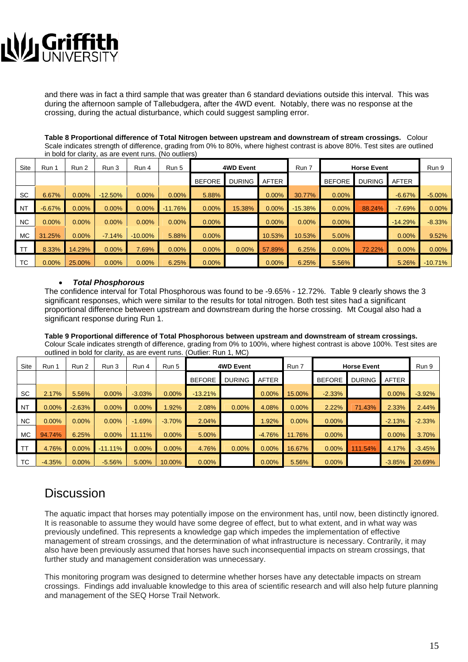# **Ny Griffith**

and there was in fact a third sample that was greater than 6 standard deviations outside this interval. This was during the afternoon sample of Tallebudgera, after the 4WD event. Notably, there was no response at the crossing, during the actual disturbance, which could suggest sampling error.

**Table 8 Proportional difference of Total Nitrogen between upstream and downstream of stream crossings.** Colour Scale indicates strength of difference, grading from 0% to 80%, where highest contrast is above 80%. Test sites are outlined in bold for clarity, as are event runs. (No outliers)

| Site      | Run 1    | Run 2    | Run 3     | Run 4      | Run 5     |               | <b>4WD Event</b> |              | Run 7     | <b>Horse Event</b> | Run 9         |              |           |
|-----------|----------|----------|-----------|------------|-----------|---------------|------------------|--------------|-----------|--------------------|---------------|--------------|-----------|
|           |          |          |           |            |           | <b>BEFORE</b> | <b>DURING</b>    | <b>AFTER</b> |           | <b>BEFORE</b>      | <b>DURING</b> | <b>AFTER</b> |           |
| <b>SC</b> | 6.67%    | 0.00%    | $-12.50%$ | $0.00\%$   | $0.00\%$  | 5.88%         |                  | 0.00%        | 30.77%    | $0.00\%$           |               | $-6.67%$     | $-5.00%$  |
| <b>NT</b> | $-6.67%$ | 0.00%    | 0.00%     | $0.00\%$   | $-11.76%$ | $0.00\%$      | 15.38%           | $0.00\%$     | $-15.38%$ | $0.00\%$           | 88.24%        | $-7.69%$     | 0.00%     |
| NC.       | $0.00\%$ | $0.00\%$ | $0.00\%$  | $0.00\%$   | $0.00\%$  | $0.00\%$      |                  | $0.00\%$     | $0.00\%$  | $0.00\%$           |               | $-14.29%$    | $-8.33%$  |
| <b>MC</b> | 31.25%   | $0.00\%$ | $-7.14%$  | $-10.00\%$ | 5.88%     | $0.00\%$      |                  | 10.53%       | 10.53%    | 5.00%              |               | 0.00%        | 9.52%     |
| . TT      | 8.33%    | 14.29%   | $0.00\%$  | 7.69%      | $0.00\%$  | $0.00\%$      | 0.00%            | 57.89%       | 6.25%     | $0.00\%$           | 72.22%        | 0.00%        | 0.00%     |
| TC        | 0.00%    | 25.00%   | $0.00\%$  | $0.00\%$   | 6.25%     | $0.00\%$      |                  | 0.00%        | 6.25%     | 5.56%              |               | 5.26%        | $-10.71%$ |

#### • *Total Phosphorous*

The confidence interval for Total Phosphorous was found to be -9.65% - 12.72%. Table 9 clearly shows the 3 significant responses, which were similar to the results for total nitrogen. Both test sites had a significant proportional difference between upstream and downstream during the horse crossing. Mt Cougal also had a significant response during Run 1.

**Table 9 Proportional difference of Total Phosphorous between upstream and downstream of stream crossings.** Colour Scale indicates strength of difference, grading from 0% to 100%, where highest contrast is above 100%. Test sites are outlined in bold for clarity, as are event runs. (Outlier: Run 1, MC)

| <b>Site</b> | Run 1    | Run 2    | Run 3      | Run 4    | Run 5    |               | <b>4WD Event</b> |              | Run 7    | <b>Horse Event</b> | Run 9         |              |          |
|-------------|----------|----------|------------|----------|----------|---------------|------------------|--------------|----------|--------------------|---------------|--------------|----------|
|             |          |          |            |          |          | <b>BEFORE</b> | <b>DURING</b>    | <b>AFTER</b> |          | <b>BEFORE</b>      | <b>DURING</b> | <b>AFTER</b> |          |
| <b>SC</b>   | 2.17%    | 5.56%    | $0.00\%$   | $-3.03%$ | $0.00\%$ | $-13.21%$     |                  | $0.00\%$     | 15.00%   | $-2.33%$           |               | 0.00%        | $-3.92%$ |
| <b>NT</b>   | 0.00%    | $-2.63%$ | 0.00%      | 0.00%    | .92%     | 2.08%         | $0.00\%$         | 4.08%        | 0.00%    | 2.22%              | 71.43%        | 2.33%        | 2.44%    |
| NC          | $0.00\%$ | $0.00\%$ | 0.00%      | $-1.69%$ | $-3.70%$ | 2.04%         |                  | 1.92%        | $0.00\%$ | $0.00\%$           |               | $-2.13%$     | $-2.33%$ |
| <b>MC</b>   | 94.74%   | 6.25%    | 0.00%      | 11.11%   | $0.00\%$ | 5.00%         |                  | $-4.76%$     | 11.76%   | $0.00\%$           |               | 0.00%        | 3.70%    |
| TT          | 4.76%    | 0.00%    | $-11.11\%$ | $0.00\%$ | 0.00%    | 4.76%         | $0.00\%$         | 0.00%        | 16.67%   | 0.00%              | 111.54%       | 4.17%        | $-3.45%$ |
| ТC          | $-4.35%$ | $0.00\%$ | $-5.56%$   | 5.00%    | 10.00%   | 0.00%         |                  | 0.00%        | 5.56%    | 0.00%              |               | $-3.85%$     | 20.69%   |

### **Discussion**

The aquatic impact that horses may potentially impose on the environment has, until now, been distinctly ignored. It is reasonable to assume they would have some degree of effect, but to what extent, and in what way was previously undefined. This represents a knowledge gap which impedes the implementation of effective management of stream crossings, and the determination of what infrastructure is necessary. Contrarily, it may also have been previously assumed that horses have such inconsequential impacts on stream crossings, that further study and management consideration was unnecessary.

This monitoring program was designed to determine whether horses have any detectable impacts on stream crossings. Findings add invaluable knowledge to this area of scientific research and will also help future planning and management of the SEQ Horse Trail Network.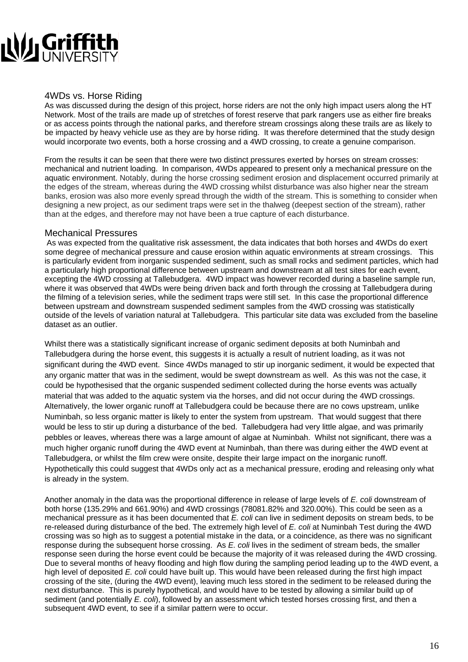# **Ny Griffith**

### 4WDs vs. Horse Riding

As was discussed during the design of this project, horse riders are not the only high impact users along the HT Network. Most of the trails are made up of stretches of forest reserve that park rangers use as either fire breaks or as access points through the national parks, and therefore stream crossings along these trails are as likely to be impacted by heavy vehicle use as they are by horse riding. It was therefore determined that the study design would incorporate two events, both a horse crossing and a 4WD crossing, to create a genuine comparison.

From the results it can be seen that there were two distinct pressures exerted by horses on stream crosses: mechanical and nutrient loading. In comparison, 4WDs appeared to present only a mechanical pressure on the aquatic environment. Notably, during the horse crossing sediment erosion and displacement occurred primarily at the edges of the stream, whereas during the 4WD crossing whilst disturbance was also higher near the stream banks, erosion was also more evenly spread through the width of the stream. This is something to consider when designing a new project, as our sediment traps were set in the thalweg (deepest section of the stream), rather than at the edges, and therefore may not have been a true capture of each disturbance.

### Mechanical Pressures

 As was expected from the qualitative risk assessment, the data indicates that both horses and 4WDs do exert some degree of mechanical pressure and cause erosion within aquatic environments at stream crossings. This is particularly evident from inorganic suspended sediment, such as small rocks and sediment particles, which had a particularly high proportional difference between upstream and downstream at all test sites for each event, excepting the 4WD crossing at Tallebudgera. 4WD impact was however recorded during a baseline sample run, where it was observed that 4WDs were being driven back and forth through the crossing at Tallebudgera during the filming of a television series, while the sediment traps were still set. In this case the proportional difference between upstream and downstream suspended sediment samples from the 4WD crossing was statistically outside of the levels of variation natural at Tallebudgera. This particular site data was excluded from the baseline dataset as an outlier.

Whilst there was a statistically significant increase of organic sediment deposits at both Numinbah and Tallebudgera during the horse event, this suggests it is actually a result of nutrient loading, as it was not significant during the 4WD event. Since 4WDs managed to stir up inorganic sediment, it would be expected that any organic matter that was in the sediment, would be swept downstream as well. As this was not the case, it could be hypothesised that the organic suspended sediment collected during the horse events was actually material that was added to the aquatic system via the horses, and did not occur during the 4WD crossings. Alternatively, the lower organic runoff at Tallebudgera could be because there are no cows upstream, unlike Numinbah, so less organic matter is likely to enter the system from upstream. That would suggest that there would be less to stir up during a disturbance of the bed. Tallebudgera had very little algae, and was primarily pebbles or leaves, whereas there was a large amount of algae at Numinbah. Whilst not significant, there was a much higher organic runoff during the 4WD event at Numinbah, than there was during either the 4WD event at Tallebudgera, or whilst the film crew were onsite, despite their large impact on the inorganic runoff. Hypothetically this could suggest that 4WDs only act as a mechanical pressure, eroding and releasing only what is already in the system.

Another anomaly in the data was the proportional difference in release of large levels of *E. coli* downstream of both horse (135.29% and 661.90%) and 4WD crossings (78081.82% and 320.00%). This could be seen as a mechanical pressure as it has been documented that *E. coli* can live in sediment deposits on stream beds, to be re-released during disturbance of the bed. The extremely high level of *E. coli* at Numinbah Test during the 4WD crossing was so high as to suggest a potential mistake in the data, or a coincidence, as there was no significant response during the subsequent horse crossing. As *E. coli* lives in the sediment of stream beds, the smaller response seen during the horse event could be because the majority of it was released during the 4WD crossing. Due to several months of heavy flooding and high flow during the sampling period leading up to the 4WD event, a high level of deposited *E. coli* could have built up. This would have been released during the first high impact crossing of the site, (during the 4WD event), leaving much less stored in the sediment to be released during the next disturbance. This is purely hypothetical, and would have to be tested by allowing a similar build up of sediment (and potentially *E. coli*), followed by an assessment which tested horses crossing first, and then a subsequent 4WD event, to see if a similar pattern were to occur.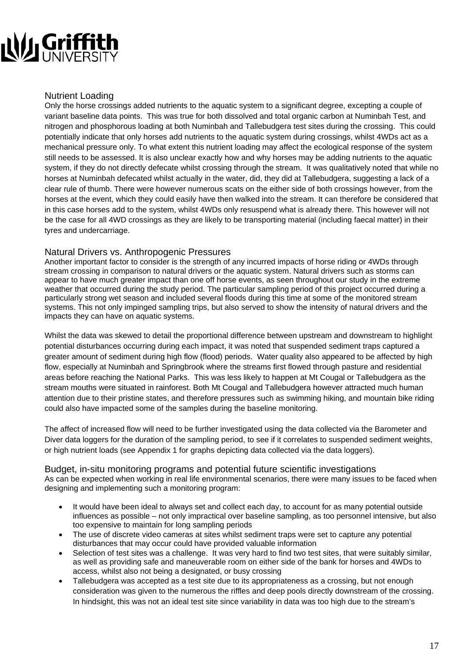# NU Griffit

### Nutrient Loading

Only the horse crossings added nutrients to the aquatic system to a significant degree, excepting a couple of variant baseline data points. This was true for both dissolved and total organic carbon at Numinbah Test, and nitrogen and phosphorous loading at both Numinbah and Tallebudgera test sites during the crossing. This could potentially indicate that only horses add nutrients to the aquatic system during crossings, whilst 4WDs act as a mechanical pressure only. To what extent this nutrient loading may affect the ecological response of the system still needs to be assessed. It is also unclear exactly how and why horses may be adding nutrients to the aquatic system, if they do not directly defecate whilst crossing through the stream. It was qualitatively noted that while no horses at Numinbah defecated whilst actually in the water, did, they did at Tallebudgera, suggesting a lack of a clear rule of thumb. There were however numerous scats on the either side of both crossings however, from the horses at the event, which they could easily have then walked into the stream. It can therefore be considered that in this case horses add to the system, whilst 4WDs only resuspend what is already there. This however will not be the case for all 4WD crossings as they are likely to be transporting material (including faecal matter) in their tyres and undercarriage.

### Natural Drivers vs. Anthropogenic Pressures

Another important factor to consider is the strength of any incurred impacts of horse riding or 4WDs through stream crossing in comparison to natural drivers or the aquatic system. Natural drivers such as storms can appear to have much greater impact than one off horse events, as seen throughout our study in the extreme weather that occurred during the study period. The particular sampling period of this project occurred during a particularly strong wet season and included several floods during this time at some of the monitored stream systems. This not only impinged sampling trips, but also served to show the intensity of natural drivers and the impacts they can have on aquatic systems.

Whilst the data was skewed to detail the proportional difference between upstream and downstream to highlight potential disturbances occurring during each impact, it was noted that suspended sediment traps captured a greater amount of sediment during high flow (flood) periods. Water quality also appeared to be affected by high flow, especially at Numinbah and Springbrook where the streams first flowed through pasture and residential areas before reaching the National Parks. This was less likely to happen at Mt Cougal or Tallebudgera as the stream mouths were situated in rainforest. Both Mt Cougal and Tallebudgera however attracted much human attention due to their pristine states, and therefore pressures such as swimming hiking, and mountain bike riding could also have impacted some of the samples during the baseline monitoring.

The affect of increased flow will need to be further investigated using the data collected via the Barometer and Diver data loggers for the duration of the sampling period, to see if it correlates to suspended sediment weights, or high nutrient loads (see Appendix 1 for graphs depicting data collected via the data loggers).

### Budget, in-situ monitoring programs and potential future scientific investigations

As can be expected when working in real life environmental scenarios, there were many issues to be faced when designing and implementing such a monitoring program:

- It would have been ideal to always set and collect each day, to account for as many potential outside influences as possible – not only impractical over baseline sampling, as too personnel intensive, but also too expensive to maintain for long sampling periods
- The use of discrete video cameras at sites whilst sediment traps were set to capture any potential disturbances that may occur could have provided valuable information
- Selection of test sites was a challenge. It was very hard to find two test sites, that were suitably similar, as well as providing safe and maneuverable room on either side of the bank for horses and 4WDs to access, whilst also not being a designated, or busy crossing
- Tallebudgera was accepted as a test site due to its appropriateness as a crossing, but not enough consideration was given to the numerous the riffles and deep pools directly downstream of the crossing. In hindsight, this was not an ideal test site since variability in data was too high due to the stream's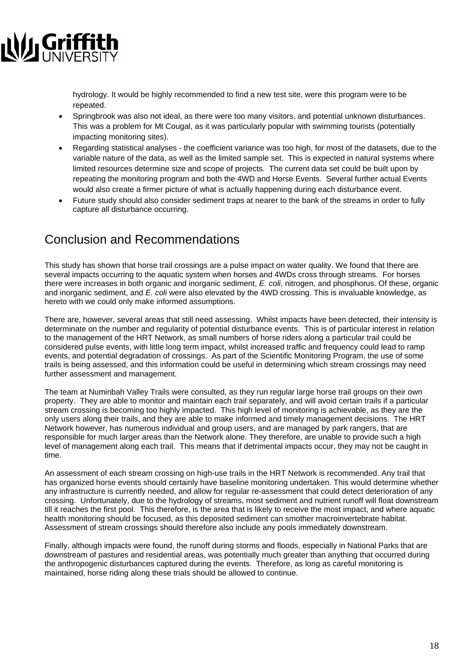

hydrology. It would be highly recommended to find a new test site, were this program were to be repeated.

- Springbrook was also not ideal, as there were too many visitors, and potential unknown disturbances. This was a problem for Mt Cougal, as it was particularly popular with swimming tourists (potentially impacting monitoring sites).
- Regarding statistical analyses the coefficient variance was too high, for most of the datasets, due to the variable nature of the data, as well as the limited sample set. This is expected in natural systems where limited resources determine size and scope of projects. The current data set could be built upon by repeating the monitoring program and both the 4WD and Horse Events. Several further actual Events would also create a firmer picture of what is actually happening during each disturbance event.
- Future study should also consider sediment traps at nearer to the bank of the streams in order to fully capture all disturbance occurring.

### Conclusion and Recommendations

This study has shown that horse trail crossings are a pulse impact on water quality. We found that there are several impacts occurring to the aquatic system when horses and 4WDs cross through streams. For horses there were increases in both organic and inorganic sediment, *E. coli*, nitrogen, and phosphorus. Of these, organic and inorganic sediment, and *E. coli* were also elevated by the 4WD crossing. This is invaluable knowledge, as hereto with we could only make informed assumptions.

There are, however, several areas that still need assessing. Whilst impacts have been detected, their intensity is determinate on the number and regularity of potential disturbance events. This is of particular interest in relation to the management of the HRT Network, as small numbers of horse riders along a particular trail could be considered pulse events, with little long term impact, whilst increased traffic and frequency could lead to ramp events, and potential degradation of crossings. As part of the Scientific Monitoring Program, the use of some trails is being assessed, and this information could be useful in determining which stream crossings may need further assessment and management.

The team at Numinbah Valley Trails were consulted, as they run regular large horse trail groups on their own property. They are able to monitor and maintain each trail separately, and will avoid certain trails if a particular stream crossing is becoming too highly impacted. This high level of monitoring is achievable, as they are the only users along their trails, and they are able to make informed and timely management decisions. The HRT Network however, has numerous individual and group users, and are managed by park rangers, that are responsible for much larger areas than the Network alone. They therefore, are unable to provide such a high level of management along each trail. This means that if detrimental impacts occur, they may not be caught in time.

An assessment of each stream crossing on high-use trails in the HRT Network is recommended. Any trail that has organized horse events should certainly have baseline monitoring undertaken. This would determine whether any infrastructure is currently needed, and allow for regular re-assessment that could detect deterioration of any crossing. Unfortunately, due to the hydrology of streams, most sediment and nutrient runoff will float downstream till it reaches the first pool. This therefore, is the area that is likely to receive the most impact, and where aquatic health monitoring should be focused, as this deposited sediment can smother macroinvertebrate habitat. Assessment of stream crossings should therefore also include any pools immediately downstream.

Finally, although impacts were found, the runoff during storms and floods, especially in National Parks that are downstream of pastures and residential areas, was potentially much greater than anything that occurred during the anthropogenic disturbances captured during the events. Therefore, as long as careful monitoring is maintained, horse riding along these trials should be allowed to continue.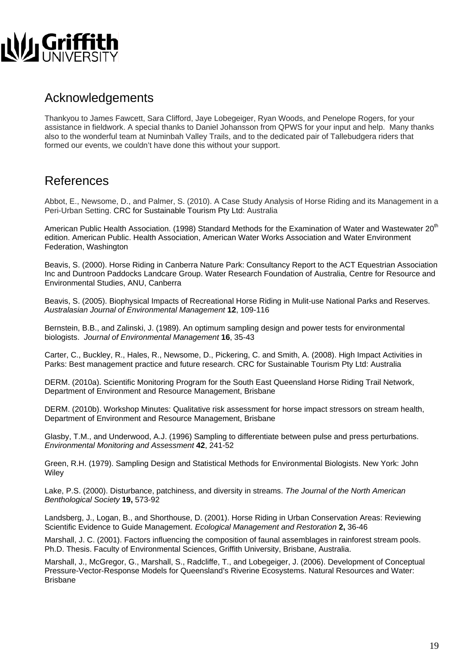

### Acknowledgements

Thankyou to James Fawcett, Sara Clifford, Jaye Lobegeiger, Ryan Woods, and Penelope Rogers, for your assistance in fieldwork. A special thanks to Daniel Johansson from QPWS for your input and help. Many thanks also to the wonderful team at Numinbah Valley Trails, and to the dedicated pair of Tallebudgera riders that formed our events, we couldn't have done this without your support.

### References

Abbot, E., Newsome, D., and Palmer, S. (2010). A Case Study Analysis of Horse Riding and its Management in a Peri-Urban Setting. CRC for Sustainable Tourism Pty Ltd: Australia

American Public Health Association. (1998) Standard Methods for the Examination of Water and Wastewater 20<sup>th</sup> edition. American Public. Health Association, American Water Works Association and Water Environment Federation, Washington

Beavis, S. (2000). Horse Riding in Canberra Nature Park: Consultancy Report to the ACT Equestrian Association Inc and Duntroon Paddocks Landcare Group. Water Research Foundation of Australia, Centre for Resource and Environmental Studies, ANU, Canberra

Beavis, S. (2005). Biophysical Impacts of Recreational Horse Riding in Mulit-use National Parks and Reserves. *Australasian Journal of Environmental Management* **12**, 109-116

Bernstein, B.B., and Zalinski, J. (1989). An optimum sampling design and power tests for environmental biologists. *Journal of Environmental Management* **16**, 35-43

Carter, C., Buckley, R., Hales, R., Newsome, D., Pickering, C. and Smith, A. (2008). High Impact Activities in Parks: Best management practice and future research. CRC for Sustainable Tourism Pty Ltd: Australia

DERM. (2010a). Scientific Monitoring Program for the South East Queensland Horse Riding Trail Network, Department of Environment and Resource Management, Brisbane

DERM. (2010b). Workshop Minutes: Qualitative risk assessment for horse impact stressors on stream health, Department of Environment and Resource Management, Brisbane

Glasby, T.M., and Underwood, A.J. (1996) Sampling to differentiate between pulse and press perturbations. *Environmental Monitoring and Assessment* **42**, 241-52

Green, R.H. (1979). Sampling Design and Statistical Methods for Environmental Biologists. New York: John **Wiley** 

Lake, P.S. (2000). Disturbance, patchiness, and diversity in streams. *The Journal of the North American Benthological Society* **19,** 573-92

Landsberg, J., Logan, B., and Shorthouse, D. (2001). Horse Riding in Urban Conservation Areas: Reviewing Scientific Evidence to Guide Management. *Ecological Management and Restoration* **2,** 36-46

Marshall, J. C. (2001). Factors influencing the composition of faunal assemblages in rainforest stream pools. Ph.D. Thesis. Faculty of Environmental Sciences, Griffith University, Brisbane, Australia.

Marshall, J., McGregor, G., Marshall, S., Radcliffe, T., and Lobegeiger, J. (2006). Development of Conceptual Pressure-Vector-Response Models for Queensland's Riverine Ecosystems. Natural Resources and Water: Brisbane